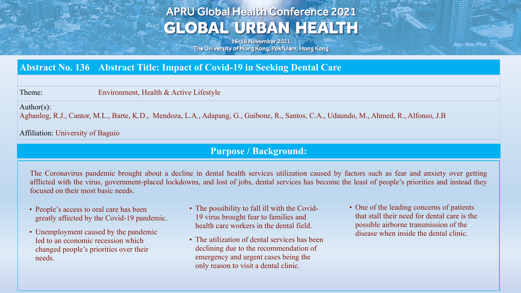# **APRU Global Health Conference 2021 GLOBAL URBAN HEALTH**

16-18 November 2021 The University of Hong Kong, Pokfulam, Hong Kong

### **Abstract No. 136 Abstract Title: Impact of Covid-19 in Seeking Dental Care**

Theme: Environment, Health & Active Lifestyle

Author(s):

Agbanlog, R.J., Cantor, M.L., Barte, K.D., Mendoza, L.A., Adapang, G., Guibone, R., Santos, C.A., Udaundo, M., Ahmed, R., Alfonso, J.B

Affiliation: University of Baguio

#### **Purpose / Background:**

The Coronavirus pandemic brought about a decline in dental health services utilization caused by factors such as fear and anxiety over getting afflicted with the virus, government-placed lockdowns, and lost of jobs, dental services has become the least of people's priorities and instead they focused on their most basic needs.

- People's access to oral care has been greatly affected by the Covid-19 pandemic.
- Unemployment caused by the pandemic led to an economic recession which changed people's priorities over their needs.
- The possibility to fall ill with the Covid-19 virus brought fear to families and health care workers in the dental field.
- The utilization of dental services has been declining due to the recommendation of emergency and urgent cases being the only reason to visit a dental clinic.
- One of the leading concerns of patients that stall their need for dental care is the possible airborne transmission of the disease when inside the dental clinic.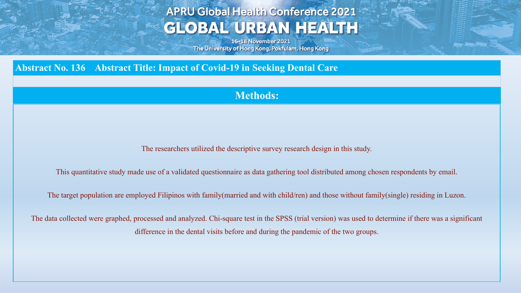## **APRU Global Health Conference 2021 GLOBAL URBAN HEALTH**

16-18 November 2021 The University of Hong Kong, Pokfulam, Hong Kong

### **Abstract No. 136 Abstract Title: Impact of Covid-19 in Seeking Dental Care**

#### **Methods:**

The researchers utilized the descriptive survey research design in this study.

This quantitative study made use of a validated questionnaire as data gathering tool distributed among chosen respondents by email.

The target population are employed Filipinos with family(married and with child/ren) and those without family(single) residing in Luzon.

The data collected were graphed, processed and analyzed. Chi-square test in the SPSS (trial version) was used to determine if there was a significant difference in the dental visits before and during the pandemic of the two groups.